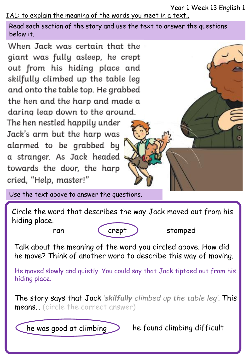Year 1 Week 13 English 1

IAL: to explain the meaning of the words you meet in a text..

Read each section of the story and use the text to answer the questions below it.

When Jack was certain that the giant was fully asleep, he crept out from his hiding place and skilfully climbed up the table leg and onto the table top. He grabbed the hen and the harp and made a daring leap down to the ground.

The hen nestled happily under Jack's arm but the harp was alarmed to be grabbed by a stranger. As Jack headed towards the door, the harp cried, "Help, master!"

Use the text above to answer the questions.

Circle the word that describes the way Jack moved out from his hiding place.



Talk about the meaning of the word you circled above. How did he move? Think of another word to describe this way of moving.

He moved slowly and quietly. You could say that Jack tiptoed out from his hiding place.

The story says that Jack *'skilfully climbed up the table leg'.* This means… (circle the correct answer)

he was good at climbing  $\sum$  he found climbing difficult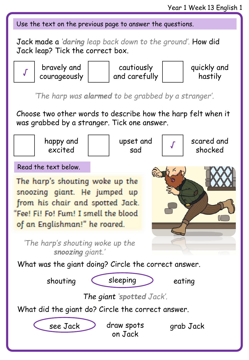Use the text on the previous page to answer the questions.

Jack made a *'daring leap back down to the ground'.* How did Jack leap? Tick the correct box.



*'The harp was alarmed to be grabbed by a stranger'.* 

Choose two other words to describe how the harp felt when it was grabbed by a stranger. Tick one answer.

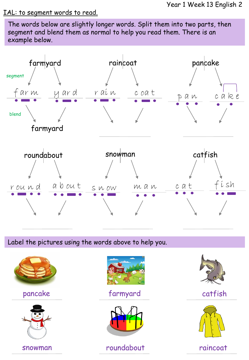## IAL: to segment words to read.

The words below are slightly longer words. Split them into two parts, then segment and blend them as normal to help you read them. There is an example below.



Label the pictures using the words above to help you.







pancake farmyard catfish



snowman roundabout raincoat



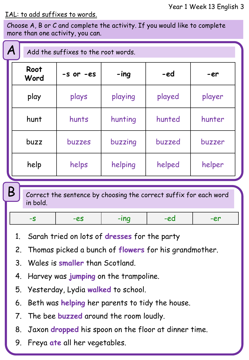## IAL: to add suffixes to words.

B

Choose A, B or C and complete the activity. If you would like to complete more than one activity, you can.

| $\boldsymbol{\mathsf{A}}$ | Add the suffixes to the root words. |         |        |        |  |  |  |
|---------------------------|-------------------------------------|---------|--------|--------|--|--|--|
| Root<br>Word              | $-S$ or $-es$                       | $-$ ing | -ed    | -er    |  |  |  |
| play                      | plays                               | playing | played | player |  |  |  |
| hunt                      | hunts                               | hunting | hunted | hunter |  |  |  |
| buzz                      | buzzes                              | buzzing | buzzed | buzzer |  |  |  |
| help                      | helps                               | helping | helped | helper |  |  |  |

Correct the sentence by choosing the correct suffix for each word in bold.

| $\overline{\phantom{a}}$ | $-22$ |  | $\sim$<br>$-l$ | - - |
|--------------------------|-------|--|----------------|-----|
|--------------------------|-------|--|----------------|-----|

- 1. Sarah tried on lots of **dresses** for the party
- 2. Thomas picked a bunch of **flowers** for his grandmother.
- 3. Wales is **smaller** than Scotland.
- 4. Harvey was **jumping** on the trampoline.
- 5. Yesterday, Lydia **walked** to school.
- 6. Beth was **helping** her parents to tidy the house.
- 7. The bee **buzzed** around the room loudly.
- 8. Jaxon **dropped** his spoon on the floor at dinner time.
- 9. Freya **ate** all her vegetables.